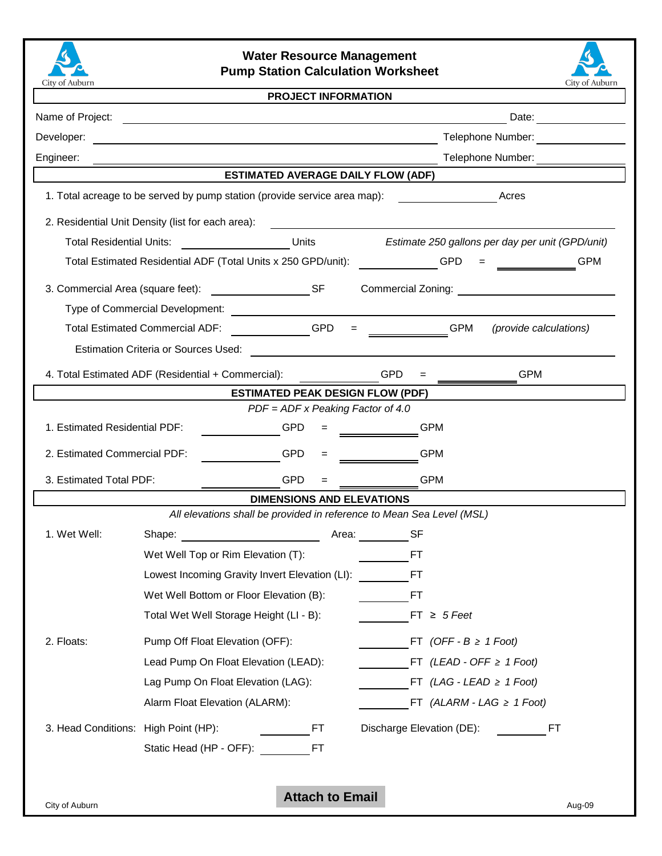

## **Water Resource Management Pump Station Calculation Worksheet**



## **PROJECT INFORMATION**

| Name of Project:                                                                   | <u> 1989 - John Stein, september 1989 - John Stein, september 1989 - John Stein, september 1989 - John Stein, se</u> | Date: <u>________</u>                                                                                                 |  |  |  |  |  |
|------------------------------------------------------------------------------------|----------------------------------------------------------------------------------------------------------------------|-----------------------------------------------------------------------------------------------------------------------|--|--|--|--|--|
| Developer:                                                                         |                                                                                                                      |                                                                                                                       |  |  |  |  |  |
| Engineer:                                                                          |                                                                                                                      | Telephone Number:                                                                                                     |  |  |  |  |  |
|                                                                                    | <b>ESTIMATED AVERAGE DAILY FLOW (ADF)</b>                                                                            |                                                                                                                       |  |  |  |  |  |
| 1. Total acreage to be served by pump station (provide service area map):<br>Acres |                                                                                                                      |                                                                                                                       |  |  |  |  |  |
|                                                                                    | 2. Residential Unit Density (list for each area):                                                                    |                                                                                                                       |  |  |  |  |  |
| <b>Total Residential Units:</b>                                                    | Units                                                                                                                | Estimate 250 gallons per day per unit (GPD/unit)                                                                      |  |  |  |  |  |
|                                                                                    | Total Estimated Residential ADF (Total Units x 250 GPD/unit):                                                        | <b>GPM</b><br><b>GPD</b>                                                                                              |  |  |  |  |  |
|                                                                                    | 3. Commercial Area (square feet): SF                                                                                 | Commercial Zoning:                                                                                                    |  |  |  |  |  |
|                                                                                    |                                                                                                                      |                                                                                                                       |  |  |  |  |  |
|                                                                                    | $\overline{\phantom{a}}$ GPD<br><b>Total Estimated Commercial ADF:</b>                                               | <b>GPM</b><br>(provide calculations)<br>$=$                                                                           |  |  |  |  |  |
|                                                                                    | <b>Estimation Criteria or Sources Used:</b>                                                                          | <u> 1980 - Jan Sterling von Berling von Berling von Berling von Berling von Berling von Berling von Berling von B</u> |  |  |  |  |  |
| 4. Total Estimated ADF (Residential + Commercial):<br><b>GPM</b><br><b>GPD</b>     |                                                                                                                      |                                                                                                                       |  |  |  |  |  |
| <b>ESTIMATED PEAK DESIGN FLOW (PDF)</b>                                            |                                                                                                                      |                                                                                                                       |  |  |  |  |  |
|                                                                                    | $PDF = ADF \times Peaking Factor of 4.0$                                                                             |                                                                                                                       |  |  |  |  |  |
| 1. Estimated Residential PDF:                                                      | <b>GPD</b>                                                                                                           | <b>GPM</b>                                                                                                            |  |  |  |  |  |
| 2. Estimated Commercial PDF:                                                       | <b>GPD</b>                                                                                                           | <b>GPM</b>                                                                                                            |  |  |  |  |  |
| 3. Estimated Total PDF:                                                            | <b>GPD</b>                                                                                                           | <b>GPM</b>                                                                                                            |  |  |  |  |  |
| <b>DIMENSIONS AND ELEVATIONS</b>                                                   |                                                                                                                      |                                                                                                                       |  |  |  |  |  |
|                                                                                    | All elevations shall be provided in reference to Mean Sea Level (MSL)                                                |                                                                                                                       |  |  |  |  |  |
| 1. Wet Well:                                                                       |                                                                                                                      |                                                                                                                       |  |  |  |  |  |
|                                                                                    | Wet Well Top or Rim Elevation (T):                                                                                   | FT                                                                                                                    |  |  |  |  |  |
|                                                                                    | Lowest Incoming Gravity Invert Elevation (LI):                                                                       | <b>FT</b>                                                                                                             |  |  |  |  |  |
|                                                                                    | Wet Well Bottom or Floor Elevation (B):                                                                              | <b>FT</b>                                                                                                             |  |  |  |  |  |
|                                                                                    | Total Wet Well Storage Height (LI - B):                                                                              | $FT \geq 5$ Feet                                                                                                      |  |  |  |  |  |
| 2. Floats:                                                                         | Pump Off Float Elevation (OFF):                                                                                      | FT (OFF - $B \geq 1$ Foot)                                                                                            |  |  |  |  |  |
|                                                                                    | Lead Pump On Float Elevation (LEAD):                                                                                 | FT (LEAD - OFF $\geq 1$ Foot)                                                                                         |  |  |  |  |  |
|                                                                                    | Lag Pump On Float Elevation (LAG):                                                                                   | FT (LAG - LEAD $\geq$ 1 Foot)                                                                                         |  |  |  |  |  |
|                                                                                    | Alarm Float Elevation (ALARM):                                                                                       | FT (ALARM - LAG $\geq$ 1 Foot)                                                                                        |  |  |  |  |  |
| 3. Head Conditions: High Point (HP):                                               | FT                                                                                                                   | Discharge Elevation (DE):<br>FT.                                                                                      |  |  |  |  |  |
|                                                                                    | Static Head (HP - OFF):<br>FT                                                                                        |                                                                                                                       |  |  |  |  |  |
|                                                                                    |                                                                                                                      |                                                                                                                       |  |  |  |  |  |
| <b>Attach to Email</b>                                                             |                                                                                                                      |                                                                                                                       |  |  |  |  |  |
| City of Auburn<br>Aug-09                                                           |                                                                                                                      |                                                                                                                       |  |  |  |  |  |